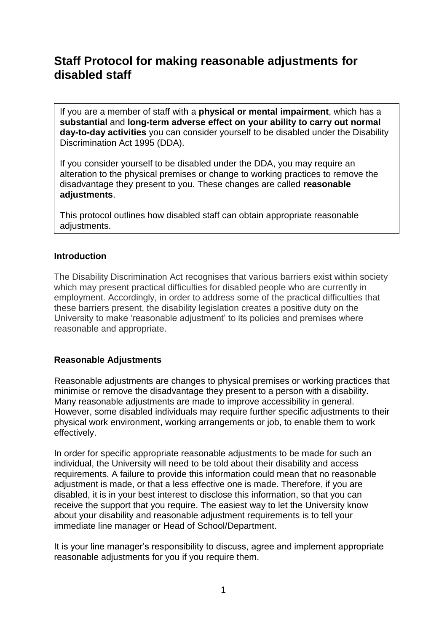# **Staff Protocol for making reasonable adjustments for disabled staff**

If you are a member of staff with a **physical or mental impairment**, which has a **substantial** and **long-term adverse effect on your ability to carry out normal day-to-day activities** you can consider yourself to be disabled under the Disability Discrimination Act 1995 (DDA).

If you consider yourself to be disabled under the DDA, you may require an alteration to the physical premises or change to working practices to remove the disadvantage they present to you. These changes are called **reasonable adjustments**.

This protocol outlines how disabled staff can obtain appropriate reasonable adjustments.

#### **Introduction**

The Disability Discrimination Act recognises that various barriers exist within society which may present practical difficulties for disabled people who are currently in employment. Accordingly, in order to address some of the practical difficulties that these barriers present, the disability legislation creates a positive duty on the University to make 'reasonable adjustment' to its policies and premises where reasonable and appropriate.

### **Reasonable Adjustments**

Reasonable adjustments are changes to physical premises or working practices that minimise or remove the disadvantage they present to a person with a disability. Many reasonable adjustments are made to improve accessibility in general. However, some disabled individuals may require further specific adjustments to their physical work environment, working arrangements or job, to enable them to work effectively.

In order for specific appropriate reasonable adjustments to be made for such an individual, the University will need to be told about their disability and access requirements. A failure to provide this information could mean that no reasonable adjustment is made, or that a less effective one is made. Therefore, if you are disabled, it is in your best interest to disclose this information, so that you can receive the support that you require. The easiest way to let the University know about your disability and reasonable adjustment requirements is to tell your immediate line manager or Head of School/Department.

It is your line manager's responsibility to discuss, agree and implement appropriate reasonable adjustments for you if you require them.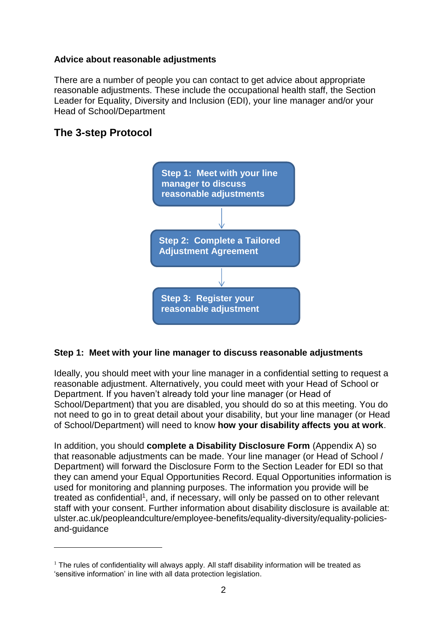#### **Advice about reasonable adjustments**

There are a number of people you can contact to get advice about appropriate reasonable adjustments. These include the occupational health staff, the Section Leader for Equality, Diversity and Inclusion (EDI), your line manager and/or your Head of School/Department

# **The 3-step Protocol**

1



### **Step 1: Meet with your line manager to discuss reasonable adjustments**

Ideally, you should meet with your line manager in a confidential setting to request a reasonable adjustment. Alternatively, you could meet with your Head of School or Department. If you haven't already told your line manager (or Head of School/Department) that you are disabled, you should do so at this meeting. You do not need to go in to great detail about your disability, but your line manager (or Head of School/Department) will need to know **how your disability affects you at work**.

In addition, you should **complete a Disability Disclosure Form** (Appendix A) so that reasonable adjustments can be made. Your line manager (or Head of School / Department) will forward the Disclosure Form to the Section Leader for EDI so that they can amend your Equal Opportunities Record. Equal Opportunities information is used for monitoring and planning purposes. The information you provide will be treated as confidential<sup>1</sup>, and, if necessary, will only be passed on to other relevant staff with your consent. Further information about disability disclosure is available at: ulster.ac.uk/peopleandculture/employee-benefits/equality-diversity/equality-policiesand-guidance

 $1$  The rules of confidentiality will always apply. All staff disability information will be treated as 'sensitive information' in line with all data protection legislation.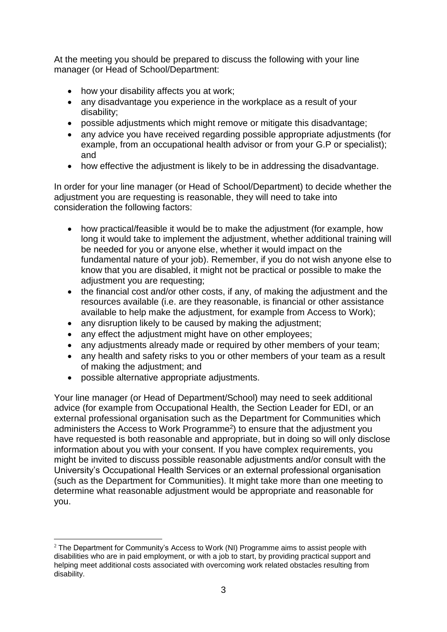At the meeting you should be prepared to discuss the following with your line manager (or Head of School/Department:

- how your disability affects you at work;
- any disadvantage you experience in the workplace as a result of your disability;
- possible adjustments which might remove or mitigate this disadvantage;
- any advice you have received regarding possible appropriate adjustments (for example, from an occupational health advisor or from your G.P or specialist); and
- how effective the adjustment is likely to be in addressing the disadvantage.

In order for your line manager (or Head of School/Department) to decide whether the adjustment you are requesting is reasonable, they will need to take into consideration the following factors:

- how practical/feasible it would be to make the adjustment (for example, how long it would take to implement the adjustment, whether additional training will be needed for you or anyone else, whether it would impact on the fundamental nature of your job). Remember, if you do not wish anyone else to know that you are disabled, it might not be practical or possible to make the adjustment you are requesting;
- the financial cost and/or other costs, if any, of making the adjustment and the resources available (i.e. are they reasonable, is financial or other assistance available to help make the adjustment, for example from Access to Work);
- any disruption likely to be caused by making the adjustment;
- any effect the adjustment might have on other employees;
- any adjustments already made or required by other members of your team;
- any health and safety risks to you or other members of your team as a result of making the adjustment; and
- possible alternative appropriate adjustments.

1

Your line manager (or Head of Department/School) may need to seek additional advice (for example from Occupational Health, the Section Leader for EDI, or an external professional organisation such as the Department for Communities which administers the Access to Work Programme<sup>2</sup>) to ensure that the adjustment you have requested is both reasonable and appropriate, but in doing so will only disclose information about you with your consent. If you have complex requirements, you might be invited to discuss possible reasonable adjustments and/or consult with the University's Occupational Health Services or an external professional organisation (such as the Department for Communities). It might take more than one meeting to determine what reasonable adjustment would be appropriate and reasonable for you.

 $2$  The Department for Community's Access to Work (NI) Programme aims to assist people with disabilities who are in paid employment, or with a job to start, by providing practical support and helping meet additional costs associated with overcoming work related obstacles resulting from disability.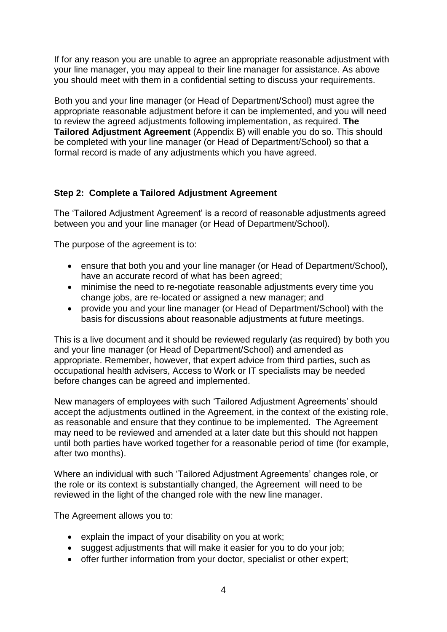If for any reason you are unable to agree an appropriate reasonable adjustment with your line manager, you may appeal to their line manager for assistance. As above you should meet with them in a confidential setting to discuss your requirements.

Both you and your line manager (or Head of Department/School) must agree the appropriate reasonable adjustment before it can be implemented, and you will need to review the agreed adjustments following implementation, as required. **The Tailored Adjustment Agreement** (Appendix B) will enable you do so. This should be completed with your line manager (or Head of Department/School) so that a formal record is made of any adjustments which you have agreed.

## **Step 2: Complete a Tailored Adjustment Agreement**

The 'Tailored Adjustment Agreement' is a record of reasonable adjustments agreed between you and your line manager (or Head of Department/School).

The purpose of the agreement is to:

- ensure that both you and your line manager (or Head of Department/School), have an accurate record of what has been agreed;
- minimise the need to re-negotiate reasonable adjustments every time you change jobs, are re-located or assigned a new manager; and
- provide you and your line manager (or Head of Department/School) with the basis for discussions about reasonable adjustments at future meetings.

This is a live document and it should be reviewed regularly (as required) by both you and your line manager (or Head of Department/School) and amended as appropriate. Remember, however, that expert advice from third parties, such as occupational health advisers, Access to Work or IT specialists may be needed before changes can be agreed and implemented.

New managers of employees with such 'Tailored Adjustment Agreements' should accept the adjustments outlined in the Agreement, in the context of the existing role, as reasonable and ensure that they continue to be implemented. The Agreement may need to be reviewed and amended at a later date but this should not happen until both parties have worked together for a reasonable period of time (for example, after two months).

Where an individual with such 'Tailored Adjustment Agreements' changes role, or the role or its context is substantially changed, the Agreement will need to be reviewed in the light of the changed role with the new line manager.

The Agreement allows you to:

- explain the impact of your disability on you at work;
- suggest adjustments that will make it easier for you to do your job;
- offer further information from your doctor, specialist or other expert;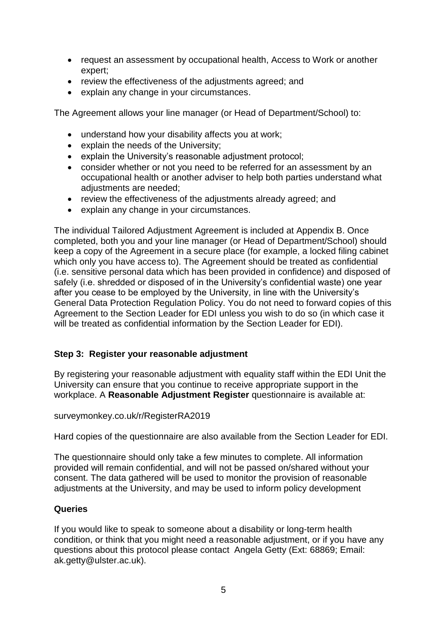- request an assessment by occupational health, Access to Work or another expert;
- review the effectiveness of the adjustments agreed; and
- explain any change in your circumstances.

The Agreement allows your line manager (or Head of Department/School) to:

- understand how your disability affects you at work;
- explain the needs of the University;
- explain the University's reasonable adjustment protocol;
- consider whether or not you need to be referred for an assessment by an occupational health or another adviser to help both parties understand what adjustments are needed;
- review the effectiveness of the adjustments already agreed; and
- explain any change in your circumstances.

The individual Tailored Adjustment Agreement is included at Appendix B. Once completed, both you and your line manager (or Head of Department/School) should keep a copy of the Agreement in a secure place (for example, a locked filing cabinet which only you have access to). The Agreement should be treated as confidential (i.e. sensitive personal data which has been provided in confidence) and disposed of safely (i.e. shredded or disposed of in the University's confidential waste) one year after you cease to be employed by the University, in line with the University's General Data Protection Regulation Policy. You do not need to forward copies of this Agreement to the Section Leader for EDI unless you wish to do so (in which case it will be treated as confidential information by the Section Leader for EDI).

## **Step 3: Register your reasonable adjustment**

By registering your reasonable adjustment with equality staff within the EDI Unit the University can ensure that you continue to receive appropriate support in the workplace. A **Reasonable Adjustment Register** questionnaire is available at:

surveymonkey.co.uk/r/RegisterRA2019

Hard copies of the questionnaire are also available from the Section Leader for EDI.

The questionnaire should only take a few minutes to complete. All information provided will remain confidential, and will not be passed on/shared without your consent. The data gathered will be used to monitor the provision of reasonable adjustments at the University, and may be used to inform policy development

### **Queries**

If you would like to speak to someone about a disability or long-term health condition, or think that you might need a reasonable adjustment, or if you have any questions about this protocol please contact Angela Getty (Ext: 68869; Email: ak.getty@ulster.ac.uk).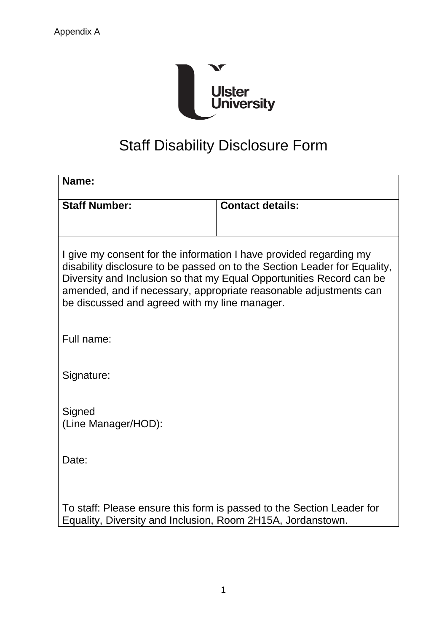

# Staff Disability Disclosure Form

| Name:                                                                                                                                                                                                                                                                                                                                         |                                                                       |  |
|-----------------------------------------------------------------------------------------------------------------------------------------------------------------------------------------------------------------------------------------------------------------------------------------------------------------------------------------------|-----------------------------------------------------------------------|--|
| <b>Staff Number:</b>                                                                                                                                                                                                                                                                                                                          | <b>Contact details:</b>                                               |  |
|                                                                                                                                                                                                                                                                                                                                               |                                                                       |  |
| I give my consent for the information I have provided regarding my<br>disability disclosure to be passed on to the Section Leader for Equality,<br>Diversity and Inclusion so that my Equal Opportunities Record can be<br>amended, and if necessary, appropriate reasonable adjustments can<br>be discussed and agreed with my line manager. |                                                                       |  |
| Full name:                                                                                                                                                                                                                                                                                                                                    |                                                                       |  |
| Signature:                                                                                                                                                                                                                                                                                                                                    |                                                                       |  |
| Signed<br>(Line Manager/HOD):                                                                                                                                                                                                                                                                                                                 |                                                                       |  |
| Date:                                                                                                                                                                                                                                                                                                                                         |                                                                       |  |
| Equality, Diversity and Inclusion, Room 2H15A, Jordanstown.                                                                                                                                                                                                                                                                                   | To staff: Please ensure this form is passed to the Section Leader for |  |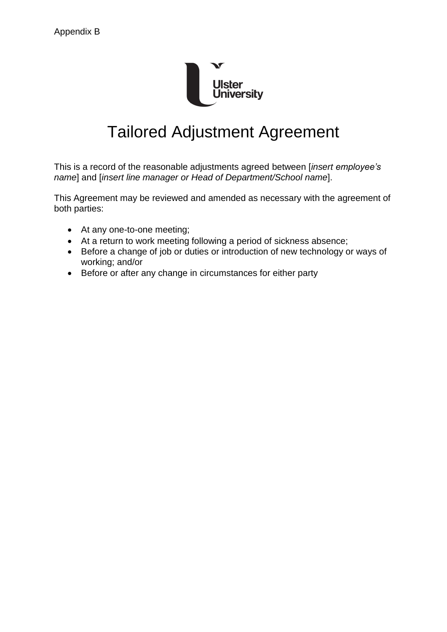

# Tailored Adjustment Agreement

This is a record of the reasonable adjustments agreed between [*insert employee's name*] and [*insert line manager or Head of Department/School name*].

This Agreement may be reviewed and amended as necessary with the agreement of both parties:

- At any one-to-one meeting;
- At a return to work meeting following a period of sickness absence;
- Before a change of job or duties or introduction of new technology or ways of working; and/or
- Before or after any change in circumstances for either party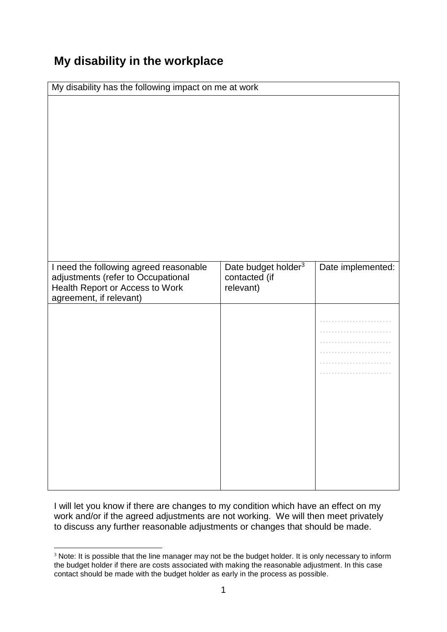# **My disability in the workplace**

| My disability has the following impact on me at work                         |                                                  |                   |  |
|------------------------------------------------------------------------------|--------------------------------------------------|-------------------|--|
|                                                                              |                                                  |                   |  |
| I need the following agreed reasonable<br>adjustments (refer to Occupational | Date budget holder <sup>3</sup><br>contacted (if | Date implemented: |  |
| Health Report or Access to Work<br>agreement, if relevant)                   | relevant)                                        |                   |  |
|                                                                              |                                                  |                   |  |

I will let you know if there are changes to my condition which have an effect on my work and/or if the agreed adjustments are not working. We will then meet privately to discuss any further reasonable adjustments or changes that should be made.

<sup>1</sup> <sup>3</sup> Note: It is possible that the line manager may not be the budget holder. It is only necessary to inform the budget holder if there are costs associated with making the reasonable adjustment. In this case contact should be made with the budget holder as early in the process as possible.